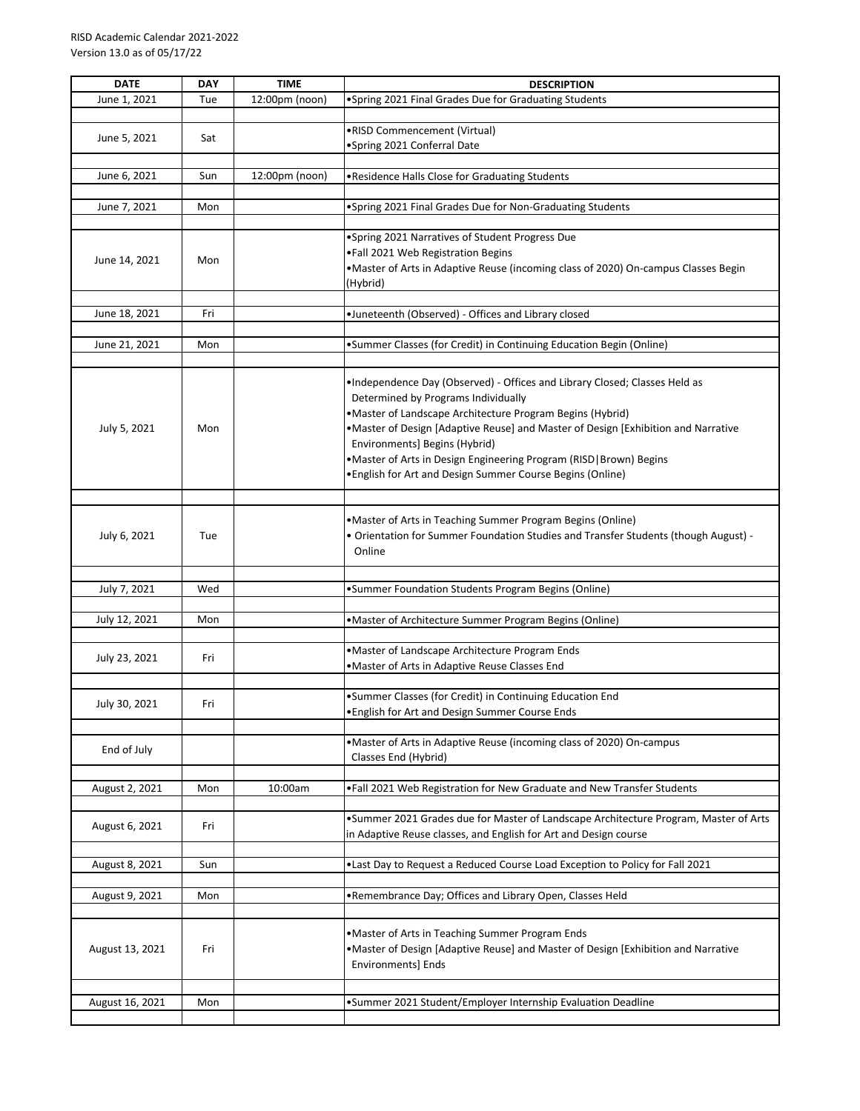| <b>DATE</b>     | <b>DAY</b> | <b>TIME</b>    | <b>DESCRIPTION</b>                                                                   |
|-----------------|------------|----------------|--------------------------------------------------------------------------------------|
| June 1, 2021    | Tue        | 12:00pm (noon) | •Spring 2021 Final Grades Due for Graduating Students                                |
|                 |            |                |                                                                                      |
|                 |            |                | •RISD Commencement (Virtual)                                                         |
| June 5, 2021    | Sat        |                | •Spring 2021 Conferral Date                                                          |
|                 |            |                |                                                                                      |
| June 6, 2021    | Sun        | 12:00pm (noon) | . Residence Halls Close for Graduating Students                                      |
|                 |            |                |                                                                                      |
|                 |            |                |                                                                                      |
| June 7, 2021    | Mon        |                | •Spring 2021 Final Grades Due for Non-Graduating Students                            |
|                 |            |                |                                                                                      |
|                 |            |                | . Spring 2021 Narratives of Student Progress Due                                     |
| June 14, 2021   | Mon        |                | .Fall 2021 Web Registration Begins                                                   |
|                 |            |                | •Master of Arts in Adaptive Reuse (incoming class of 2020) On-campus Classes Begin   |
|                 |            |                | (Hybrid)                                                                             |
|                 |            |                |                                                                                      |
| June 18, 2021   | Fri        |                | •Juneteenth (Observed) - Offices and Library closed                                  |
|                 |            |                |                                                                                      |
| June 21, 2021   | Mon        |                | •Summer Classes (for Credit) in Continuing Education Begin (Online)                  |
|                 |            |                |                                                                                      |
|                 |            |                |                                                                                      |
|                 |            |                | .Independence Day (Observed) - Offices and Library Closed; Classes Held as           |
|                 |            |                | Determined by Programs Individually                                                  |
|                 |            |                | • Master of Landscape Architecture Program Begins (Hybrid)                           |
| July 5, 2021    | Mon        |                | . Master of Design [Adaptive Reuse] and Master of Design [Exhibition and Narrative   |
|                 |            |                | Environments] Begins (Hybrid)                                                        |
|                 |            |                |                                                                                      |
|                 |            |                | •Master of Arts in Design Engineering Program (RISD   Brown) Begins                  |
|                 |            |                | • English for Art and Design Summer Course Begins (Online)                           |
|                 |            |                |                                                                                      |
|                 |            |                |                                                                                      |
|                 |            |                | • Master of Arts in Teaching Summer Program Begins (Online)                          |
| July 6, 2021    | Tue        |                | • Orientation for Summer Foundation Studies and Transfer Students (though August) -  |
|                 |            |                | Online                                                                               |
|                 |            |                |                                                                                      |
|                 |            |                |                                                                                      |
| July 7, 2021    | Wed        |                | •Summer Foundation Students Program Begins (Online)                                  |
|                 |            |                |                                                                                      |
| July 12, 2021   | Mon        |                | • Master of Architecture Summer Program Begins (Online)                              |
|                 |            |                |                                                                                      |
|                 |            |                | • Master of Landscape Architecture Program Ends                                      |
| July 23, 2021   | Fri        |                | .Master of Arts in Adaptive Reuse Classes End                                        |
|                 |            |                |                                                                                      |
|                 |            |                | •Summer Classes (for Credit) in Continuing Education End                             |
| July 30, 2021   | Fri        |                |                                                                                      |
|                 |            |                | . English for Art and Design Summer Course Ends                                      |
|                 |            |                |                                                                                      |
| End of July     |            |                | •Master of Arts in Adaptive Reuse (incoming class of 2020) On-campus                 |
|                 |            |                | Classes End (Hybrid)                                                                 |
|                 |            |                |                                                                                      |
| August 2, 2021  | Mon        | 10:00am        | . Fall 2021 Web Registration for New Graduate and New Transfer Students              |
|                 |            |                |                                                                                      |
|                 |            |                | .Summer 2021 Grades due for Master of Landscape Architecture Program, Master of Arts |
| August 6, 2021  | Fri        |                | in Adaptive Reuse classes, and English for Art and Design course                     |
|                 |            |                |                                                                                      |
|                 |            |                |                                                                                      |
| August 8, 2021  | Sun        |                | . Last Day to Request a Reduced Course Load Exception to Policy for Fall 2021        |
|                 |            |                |                                                                                      |
| August 9, 2021  | Mon        |                | . Remembrance Day; Offices and Library Open, Classes Held                            |
|                 |            |                |                                                                                      |
|                 |            |                |                                                                                      |
|                 |            |                | .Master of Arts in Teaching Summer Program Ends                                      |
| August 13, 2021 | Fri        |                | . Master of Design [Adaptive Reuse] and Master of Design [Exhibition and Narrative   |
|                 |            |                | Environments] Ends                                                                   |
|                 |            |                |                                                                                      |
|                 |            |                | •Summer 2021 Student/Employer Internship Evaluation Deadline                         |
| August 16, 2021 | Mon        |                |                                                                                      |
|                 |            |                |                                                                                      |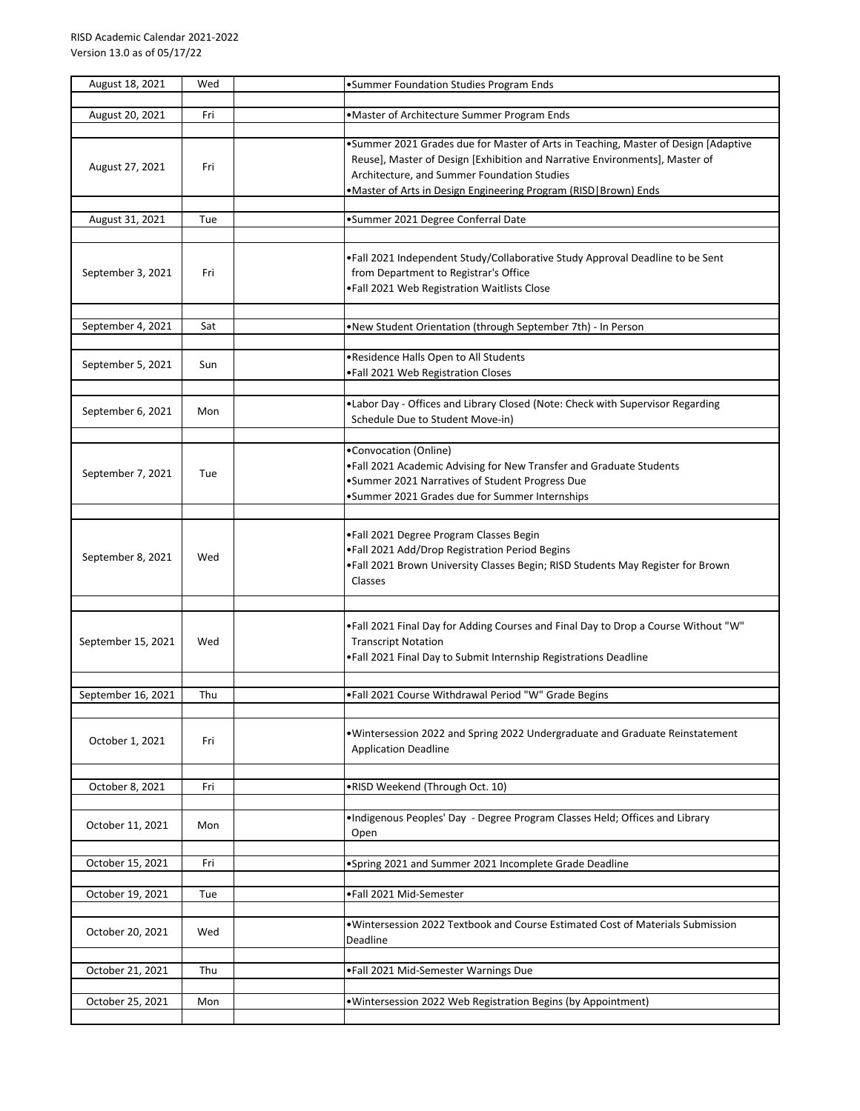| August 18, 2021    | Wed | •Summer Foundation Studies Program Ends                                                                                                                                                                                                                                               |
|--------------------|-----|---------------------------------------------------------------------------------------------------------------------------------------------------------------------------------------------------------------------------------------------------------------------------------------|
| August 20, 2021    | Fri | .Master of Architecture Summer Program Ends                                                                                                                                                                                                                                           |
| August 27, 2021    | Fri | .Summer 2021 Grades due for Master of Arts in Teaching, Master of Design [Adaptive<br>Reuse], Master of Design [Exhibition and Narrative Environments], Master of<br>Architecture, and Summer Foundation Studies<br>.Master of Arts in Design Engineering Program (RISD   Brown) Ends |
| August 31, 2021    | Tue | •Summer 2021 Degree Conferral Date                                                                                                                                                                                                                                                    |
| September 3, 2021  | Fri | . Fall 2021 Independent Study/Collaborative Study Approval Deadline to be Sent<br>from Department to Registrar's Office<br>.Fall 2021 Web Registration Waitlists Close                                                                                                                |
| September 4, 2021  | Sat | .New Student Orientation (through September 7th) - In Person                                                                                                                                                                                                                          |
| September 5, 2021  | Sun | .Residence Halls Open to All Students<br>.Fall 2021 Web Registration Closes                                                                                                                                                                                                           |
| September 6, 2021  | Mon | .Labor Day - Offices and Library Closed (Note: Check with Supervisor Regarding<br>Schedule Due to Student Move-in)                                                                                                                                                                    |
| September 7, 2021  | Tue | •Convocation (Online)<br>.Fall 2021 Academic Advising for New Transfer and Graduate Students<br>•Summer 2021 Narratives of Student Progress Due<br>•Summer 2021 Grades due for Summer Internships                                                                                     |
| September 8, 2021  | Wed | .Fall 2021 Degree Program Classes Begin<br>.Fall 2021 Add/Drop Registration Period Begins<br>.Fall 2021 Brown University Classes Begin; RISD Students May Register for Brown<br>Classes                                                                                               |
| September 15, 2021 | Wed | •Fall 2021 Final Day for Adding Courses and Final Day to Drop a Course Without "W"<br><b>Transcript Notation</b><br>. Fall 2021 Final Day to Submit Internship Registrations Deadline                                                                                                 |
| September 16, 2021 | Thu | .Fall 2021 Course Withdrawal Period "W" Grade Begins                                                                                                                                                                                                                                  |
| October 1, 2021    | Fri | . Wintersession 2022 and Spring 2022 Undergraduate and Graduate Reinstatement<br><b>Application Deadline</b>                                                                                                                                                                          |
| October 8, 2021    | Fri | .RISD Weekend (Through Oct. 10)                                                                                                                                                                                                                                                       |
| October 11, 2021   | Mon | . Indigenous Peoples' Day - Degree Program Classes Held; Offices and Library<br>Open                                                                                                                                                                                                  |
| October 15, 2021   | Fri | •Spring 2021 and Summer 2021 Incomplete Grade Deadline                                                                                                                                                                                                                                |
| October 19, 2021   | Tue | .Fall 2021 Mid-Semester                                                                                                                                                                                                                                                               |
| October 20, 2021   | Wed | •Wintersession 2022 Textbook and Course Estimated Cost of Materials Submission<br>Deadline                                                                                                                                                                                            |
| October 21, 2021   | Thu | .Fall 2021 Mid-Semester Warnings Due                                                                                                                                                                                                                                                  |
| October 25, 2021   | Mon | . Wintersession 2022 Web Registration Begins (by Appointment)                                                                                                                                                                                                                         |
|                    |     |                                                                                                                                                                                                                                                                                       |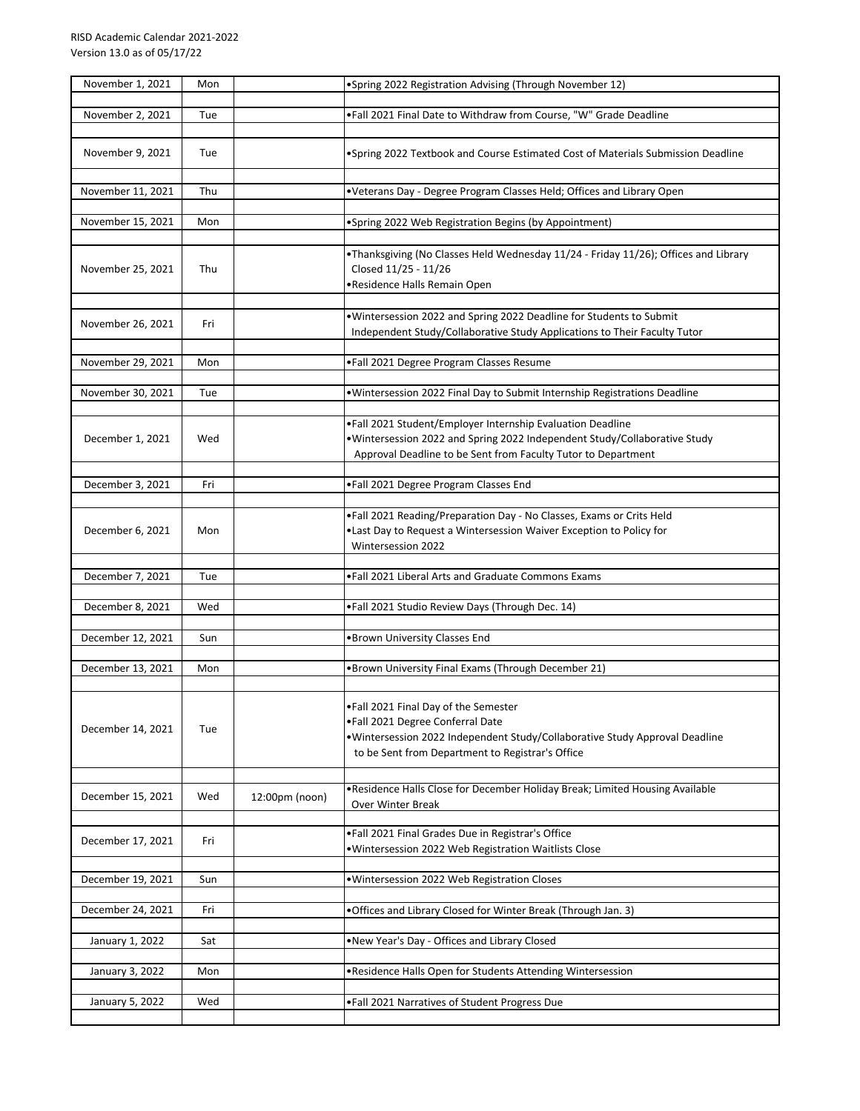| November 1, 2021  | Mon |                | •Spring 2022 Registration Advising (Through November 12)                                                                                                                                                     |
|-------------------|-----|----------------|--------------------------------------------------------------------------------------------------------------------------------------------------------------------------------------------------------------|
| November 2, 2021  | Tue |                | .Fall 2021 Final Date to Withdraw from Course, "W" Grade Deadline                                                                                                                                            |
| November 9, 2021  | Tue |                | . Spring 2022 Textbook and Course Estimated Cost of Materials Submission Deadline                                                                                                                            |
| November 11, 2021 | Thu |                | . Veterans Day - Degree Program Classes Held; Offices and Library Open                                                                                                                                       |
| November 15, 2021 | Mon |                | •Spring 2022 Web Registration Begins (by Appointment)                                                                                                                                                        |
| November 25, 2021 | Thu |                | •Thanksgiving (No Classes Held Wednesday 11/24 - Friday 11/26); Offices and Library<br>Closed 11/25 - 11/26<br>•Residence Halls Remain Open                                                                  |
| November 26, 2021 | Fri |                | . Wintersession 2022 and Spring 2022 Deadline for Students to Submit<br>Independent Study/Collaborative Study Applications to Their Faculty Tutor                                                            |
| November 29, 2021 | Mon |                | .Fall 2021 Degree Program Classes Resume                                                                                                                                                                     |
| November 30, 2021 | Tue |                | . Wintersession 2022 Final Day to Submit Internship Registrations Deadline                                                                                                                                   |
| December 1, 2021  | Wed |                | .Fall 2021 Student/Employer Internship Evaluation Deadline<br>. Wintersession 2022 and Spring 2022 Independent Study/Collaborative Study<br>Approval Deadline to be Sent from Faculty Tutor to Department    |
| December 3, 2021  | Fri |                | .Fall 2021 Degree Program Classes End                                                                                                                                                                        |
| December 6, 2021  | Mon |                | .Fall 2021 Reading/Preparation Day - No Classes, Exams or Crits Held<br>. Last Day to Request a Wintersession Waiver Exception to Policy for<br>Wintersession 2022                                           |
| December 7, 2021  | Tue |                | . Fall 2021 Liberal Arts and Graduate Commons Exams                                                                                                                                                          |
| December 8, 2021  | Wed |                | .Fall 2021 Studio Review Days (Through Dec. 14)                                                                                                                                                              |
| December 12, 2021 | Sun |                | •Brown University Classes End                                                                                                                                                                                |
| December 13, 2021 | Mon |                | .Brown University Final Exams (Through December 21)                                                                                                                                                          |
| December 14, 2021 | Tue |                | •Fall 2021 Final Day of the Semester<br>.Fall 2021 Degree Conferral Date<br>. Wintersession 2022 Independent Study/Collaborative Study Approval Deadline<br>to be Sent from Department to Registrar's Office |
| December 15, 2021 | Wed | 12:00pm (noon) | . Residence Halls Close for December Holiday Break; Limited Housing Available<br>Over Winter Break                                                                                                           |
| December 17, 2021 | Fri |                | .Fall 2021 Final Grades Due in Registrar's Office<br>.Wintersession 2022 Web Registration Waitlists Close                                                                                                    |
| December 19, 2021 | Sun |                | . Wintersession 2022 Web Registration Closes                                                                                                                                                                 |
| December 24, 2021 | Fri |                | . Offices and Library Closed for Winter Break (Through Jan. 3)                                                                                                                                               |
| January 1, 2022   | Sat |                | . New Year's Day - Offices and Library Closed                                                                                                                                                                |
| January 3, 2022   | Mon |                | . Residence Halls Open for Students Attending Wintersession                                                                                                                                                  |
| January 5, 2022   | Wed |                | .Fall 2021 Narratives of Student Progress Due                                                                                                                                                                |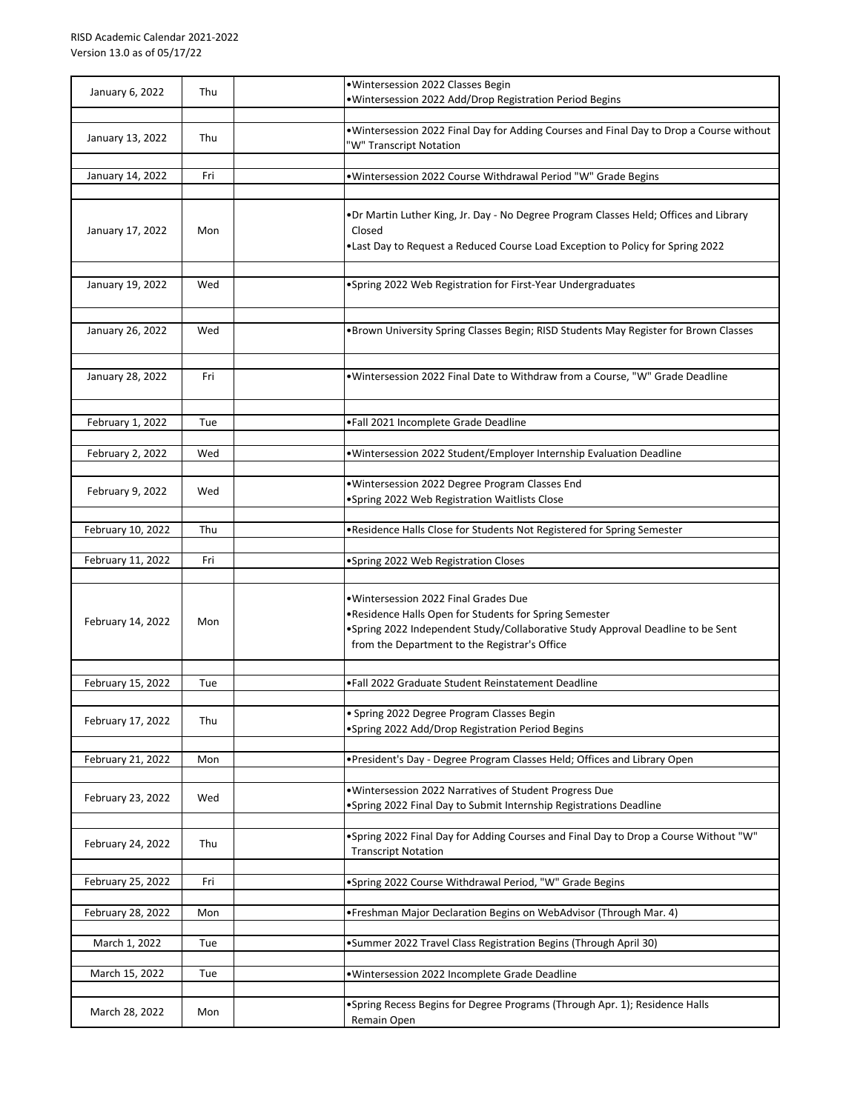| January 6, 2022   | Thu | · Wintersession 2022 Classes Begin<br>·Wintersession 2022 Add/Drop Registration Period Begins                                                                                                                                        |
|-------------------|-----|--------------------------------------------------------------------------------------------------------------------------------------------------------------------------------------------------------------------------------------|
| January 13, 2022  | Thu | . Wintersession 2022 Final Day for Adding Courses and Final Day to Drop a Course without<br>"W" Transcript Notation                                                                                                                  |
| January 14, 2022  | Fri | .Wintersession 2022 Course Withdrawal Period "W" Grade Begins                                                                                                                                                                        |
| January 17, 2022  | Mon | .Dr Martin Luther King, Jr. Day - No Degree Program Classes Held; Offices and Library<br>Closed<br>. Last Day to Request a Reduced Course Load Exception to Policy for Spring 2022                                                   |
| January 19, 2022  | Wed | •Spring 2022 Web Registration for First-Year Undergraduates                                                                                                                                                                          |
| January 26, 2022  | Wed | •Brown University Spring Classes Begin; RISD Students May Register for Brown Classes                                                                                                                                                 |
| January 28, 2022  | Fri | . Wintersession 2022 Final Date to Withdraw from a Course, "W" Grade Deadline                                                                                                                                                        |
| February 1, 2022  | Tue | •Fall 2021 Incomplete Grade Deadline                                                                                                                                                                                                 |
| February 2, 2022  | Wed | . Wintersession 2022 Student/Employer Internship Evaluation Deadline                                                                                                                                                                 |
| February 9, 2022  | Wed | ·Wintersession 2022 Degree Program Classes End<br>•Spring 2022 Web Registration Waitlists Close                                                                                                                                      |
| February 10, 2022 | Thu | .Residence Halls Close for Students Not Registered for Spring Semester                                                                                                                                                               |
| February 11, 2022 | Fri | •Spring 2022 Web Registration Closes                                                                                                                                                                                                 |
| February 14, 2022 | Mon | • Wintersession 2022 Final Grades Due<br>.Residence Halls Open for Students for Spring Semester<br>• Spring 2022 Independent Study/Collaborative Study Approval Deadline to be Sent<br>from the Department to the Registrar's Office |
| February 15, 2022 | Tue | .Fall 2022 Graduate Student Reinstatement Deadline                                                                                                                                                                                   |
| February 17, 2022 | Thu | • Spring 2022 Degree Program Classes Begin<br>•Spring 2022 Add/Drop Registration Period Begins                                                                                                                                       |
| February 21, 2022 | Mon | . President's Day - Degree Program Classes Held; Offices and Library Open                                                                                                                                                            |
| February 23, 2022 | Wed | . Wintersession 2022 Narratives of Student Progress Due<br>•Spring 2022 Final Day to Submit Internship Registrations Deadline                                                                                                        |
| February 24, 2022 | Thu | . Spring 2022 Final Day for Adding Courses and Final Day to Drop a Course Without "W"<br><b>Transcript Notation</b>                                                                                                                  |
| February 25, 2022 | Fri | •Spring 2022 Course Withdrawal Period, "W" Grade Begins                                                                                                                                                                              |
| February 28, 2022 | Mon | • Freshman Major Declaration Begins on WebAdvisor (Through Mar. 4)                                                                                                                                                                   |
| March 1, 2022     | Tue | •Summer 2022 Travel Class Registration Begins (Through April 30)                                                                                                                                                                     |
| March 15, 2022    | Tue | · Wintersession 2022 Incomplete Grade Deadline                                                                                                                                                                                       |
| March 28, 2022    | Mon | • Spring Recess Begins for Degree Programs (Through Apr. 1); Residence Halls<br>Remain Open                                                                                                                                          |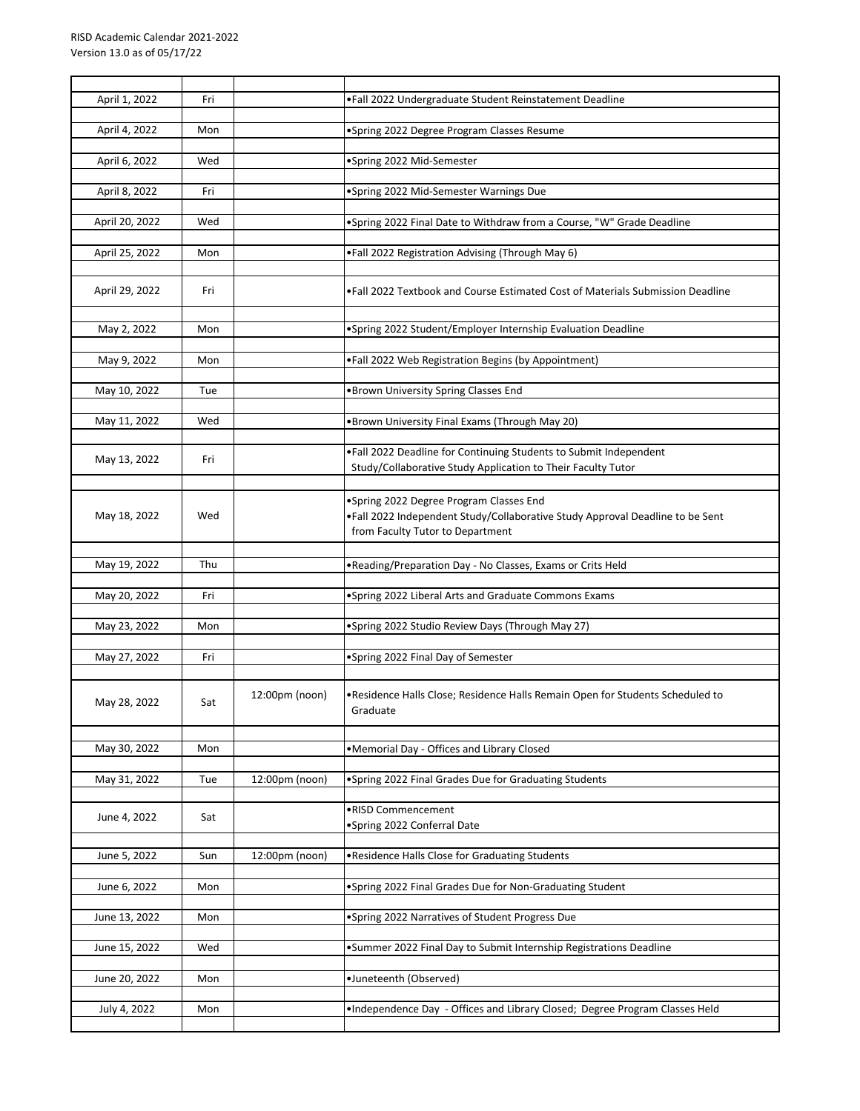| April 1, 2022  | Fri |                | .Fall 2022 Undergraduate Student Reinstatement Deadline                                                                                                      |
|----------------|-----|----------------|--------------------------------------------------------------------------------------------------------------------------------------------------------------|
| April 4, 2022  | Mon |                | •Spring 2022 Degree Program Classes Resume                                                                                                                   |
| April 6, 2022  | Wed |                | •Spring 2022 Mid-Semester                                                                                                                                    |
| April 8, 2022  | Fri |                | •Spring 2022 Mid-Semester Warnings Due                                                                                                                       |
| April 20, 2022 | Wed |                | .Spring 2022 Final Date to Withdraw from a Course, "W" Grade Deadline                                                                                        |
| April 25, 2022 | Mon |                | .Fall 2022 Registration Advising (Through May 6)                                                                                                             |
| April 29, 2022 | Fri |                | . Fall 2022 Textbook and Course Estimated Cost of Materials Submission Deadline                                                                              |
| May 2, 2022    | Mon |                | •Spring 2022 Student/Employer Internship Evaluation Deadline                                                                                                 |
| May 9, 2022    | Mon |                | .Fall 2022 Web Registration Begins (by Appointment)                                                                                                          |
| May 10, 2022   | Tue |                | . Brown University Spring Classes End                                                                                                                        |
| May 11, 2022   | Wed |                | .Brown University Final Exams (Through May 20)                                                                                                               |
| May 13, 2022   | Fri |                | .Fall 2022 Deadline for Continuing Students to Submit Independent<br>Study/Collaborative Study Application to Their Faculty Tutor                            |
| May 18, 2022   | Wed |                | •Spring 2022 Degree Program Classes End<br>.Fall 2022 Independent Study/Collaborative Study Approval Deadline to be Sent<br>from Faculty Tutor to Department |
| May 19, 2022   | Thu |                | . Reading/Preparation Day - No Classes, Exams or Crits Held                                                                                                  |
| May 20, 2022   | Fri |                | •Spring 2022 Liberal Arts and Graduate Commons Exams                                                                                                         |
| May 23, 2022   | Mon |                | •Spring 2022 Studio Review Days (Through May 27)                                                                                                             |
| May 27, 2022   | Fri |                | •Spring 2022 Final Day of Semester                                                                                                                           |
| May 28, 2022   | Sat | 12:00pm (noon) | . Residence Halls Close; Residence Halls Remain Open for Students Scheduled to<br>Graduate                                                                   |
| May 30, 2022   | Mon |                | •Memorial Day - Offices and Library Closed                                                                                                                   |
| May 31, 2022   | Tue | 12:00pm (noon) | •Spring 2022 Final Grades Due for Graduating Students                                                                                                        |
|                |     |                |                                                                                                                                                              |
| June 4, 2022   | Sat |                | •RISD Commencement<br>•Spring 2022 Conferral Date                                                                                                            |
| June 5, 2022   | Sun | 12:00pm (noon) | . Residence Halls Close for Graduating Students                                                                                                              |
| June 6, 2022   | Mon |                | •Spring 2022 Final Grades Due for Non-Graduating Student                                                                                                     |
| June 13, 2022  | Mon |                | •Spring 2022 Narratives of Student Progress Due                                                                                                              |
| June 15, 2022  | Wed |                | •Summer 2022 Final Day to Submit Internship Registrations Deadline                                                                                           |
| June 20, 2022  | Mon |                | •Juneteenth (Observed)                                                                                                                                       |
| July 4, 2022   | Mon |                | . Independence Day - Offices and Library Closed; Degree Program Classes Held                                                                                 |